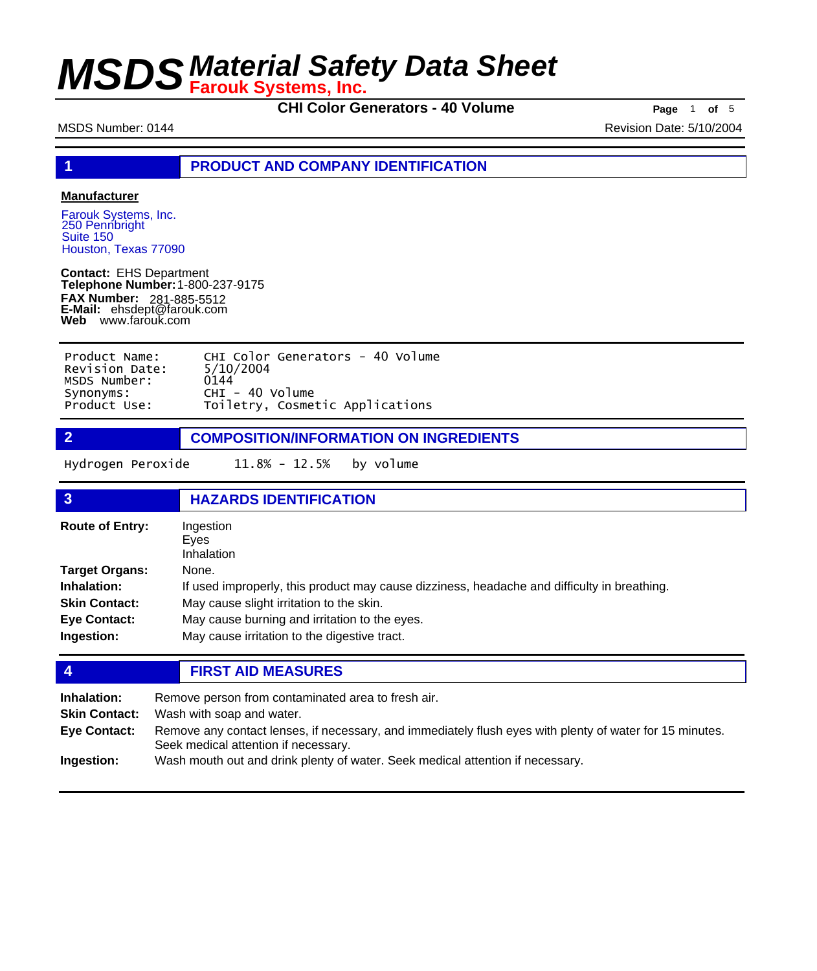**CHI Color Generators - 40 Volume** Page 1 of 5

MSDS Number: 0144 **MSDS Number: 0144** Revision Date: 5/10/2004

**1 PRODUCT AND COMPANY IDENTIFICATION**

### **Manufacturer**

Farouk Systems, Inc. 250 Pennbright Suite 150 Houston, Texas 77090

**Contact:** EHS Department **Telephone Number:** 1-800-237-9175 **FAX Number: FAX Number:** 281-885-5512<br>**E-Mail:** ehsdept@farouk.com **Web** www.farouk.com

| Product Name:  | CHI Color Generators - 40 Volume |
|----------------|----------------------------------|
| Revision Date: | 5/10/2004                        |
| MSDS Number:   | 0144                             |
| Synonyms:      | $CHI - 40$ Volume                |
| Product Use:   | Toiletry, Cosmetic Applications  |

**2 COMPOSITION/INFORMATION ON INGREDIENTS**

Hydrogen Peroxide 11.8% - 12.5% by volume

| $\overline{3}$                                                                             | <b>HAZARDS IDENTIFICATION</b>                                                                                                                                                                                                                     |
|--------------------------------------------------------------------------------------------|---------------------------------------------------------------------------------------------------------------------------------------------------------------------------------------------------------------------------------------------------|
| <b>Route of Entry:</b>                                                                     | Ingestion<br>Eves<br><b>Inhalation</b>                                                                                                                                                                                                            |
| Target Organs:<br><b>Inhalation:</b><br><b>Skin Contact:</b><br>Eye Contact:<br>Ingestion: | None.<br>If used improperly, this product may cause dizziness, headache and difficulty in breathing.<br>May cause slight irritation to the skin.<br>May cause burning and irritation to the eyes.<br>May cause irritation to the digestive tract. |

### **4 FIRST AID MEASURES**

| Inhalation:<br><b>Skin Contact:</b> | Remove person from contaminated area to fresh air.<br>Wash with soap and water.                                                                  |  |
|-------------------------------------|--------------------------------------------------------------------------------------------------------------------------------------------------|--|
| Eye Contact:                        | Remove any contact lenses, if necessary, and immediately flush eyes with plenty of water for 15 minutes.<br>Seek medical attention if necessary. |  |
| Ingestion:                          | Wash mouth out and drink plenty of water. Seek medical attention if necessary.                                                                   |  |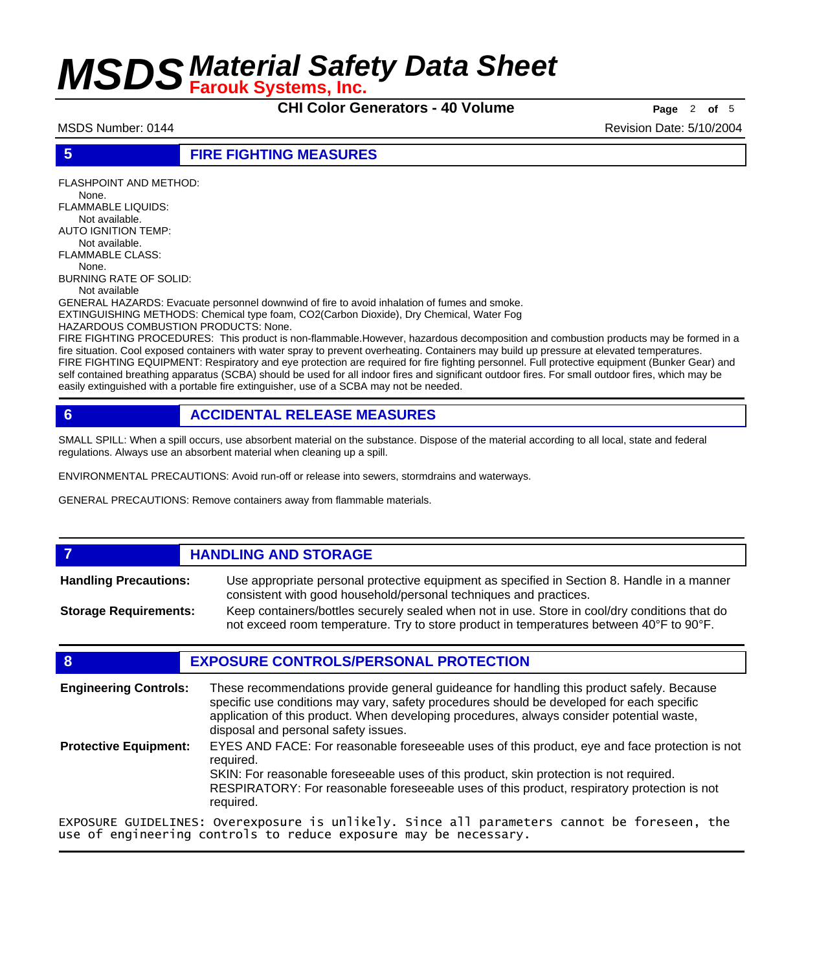**CHI Color Generators - 40 Volume Page** <sup>2</sup> **of** <sup>5</sup>

MSDS Number: 0144 Revision Date: 5/10/2004

### **5 FIRE FIGHTING MEASURES**

FLASHPOINT AND METHOD: None. FLAMMABLE LIQUIDS: Not available. AUTO IGNITION TEMP: Not available. FLAMMABLE CLASS: None. BURNING RATE OF SOLID: Not available GENERAL HAZARDS: Evacuate personnel downwind of fire to avoid inhalation of fumes and smoke. EXTINGUISHING METHODS: Chemical type foam, CO2(Carbon Dioxide), Dry Chemical, Water Fog

HAZARDOUS COMBUSTION PRODUCTS: None.

FIRE FIGHTING PROCEDURES: This product is non-flammable.However, hazardous decomposition and combustion products may be formed in a fire situation. Cool exposed containers with water spray to prevent overheating. Containers may build up pressure at elevated temperatures. FIRE FIGHTING EQUIPMENT: Respiratory and eye protection are required for fire fighting personnel. Full protective equipment (Bunker Gear) and self contained breathing apparatus (SCBA) should be used for all indoor fires and significant outdoor fires. For small outdoor fires, which may be easily extinguished with a portable fire extinguisher, use of a SCBA may not be needed.

### **6 ACCIDENTAL RELEASE MEASURES**

SMALL SPILL: When a spill occurs, use absorbent material on the substance. Dispose of the material according to all local, state and federal regulations. Always use an absorbent material when cleaning up a spill.

ENVIRONMENTAL PRECAUTIONS: Avoid run-off or release into sewers, stormdrains and waterways.

GENERAL PRECAUTIONS: Remove containers away from flammable materials.

### *HANDLING AND STORAGE* Use appropriate personal protective equipment as specified in Section 8. Handle in a manner consistent with good household/personal techniques and practices. **Handling Precautions:** Keep containers/bottles securely sealed when not in use. Store in cool/dry conditions that do not exceed room temperature. Try to store product in temperatures between 40°F to 90°F. **Storage Requirements:**

### **8 EXPOSURE CONTROLS/PERSONAL PROTECTION**

| <b>Engineering Controls:</b> | These recommendations provide general guideance for handling this product safely. Because<br>specific use conditions may vary, safety procedures should be developed for each specific<br>application of this product. When developing procedures, always consider potential waste,<br>disposal and personal safety issues. |
|------------------------------|-----------------------------------------------------------------------------------------------------------------------------------------------------------------------------------------------------------------------------------------------------------------------------------------------------------------------------|
| <b>Protective Equipment:</b> | EYES AND FACE: For reasonable foreseeable uses of this product, eye and face protection is not<br>required.<br>SKIN: For reasonable foreseeable uses of this product, skin protection is not required.<br>RESPIRATORY: For reasonable foreseeable uses of this product, respiratory protection is not<br>required.          |
|                              | EXPOSURE GUIDELINES: Overexposure is unlikely. Since all parameters cannot be foreseen, the<br>use of engineering controls to reduce exposure may be necessary.                                                                                                                                                             |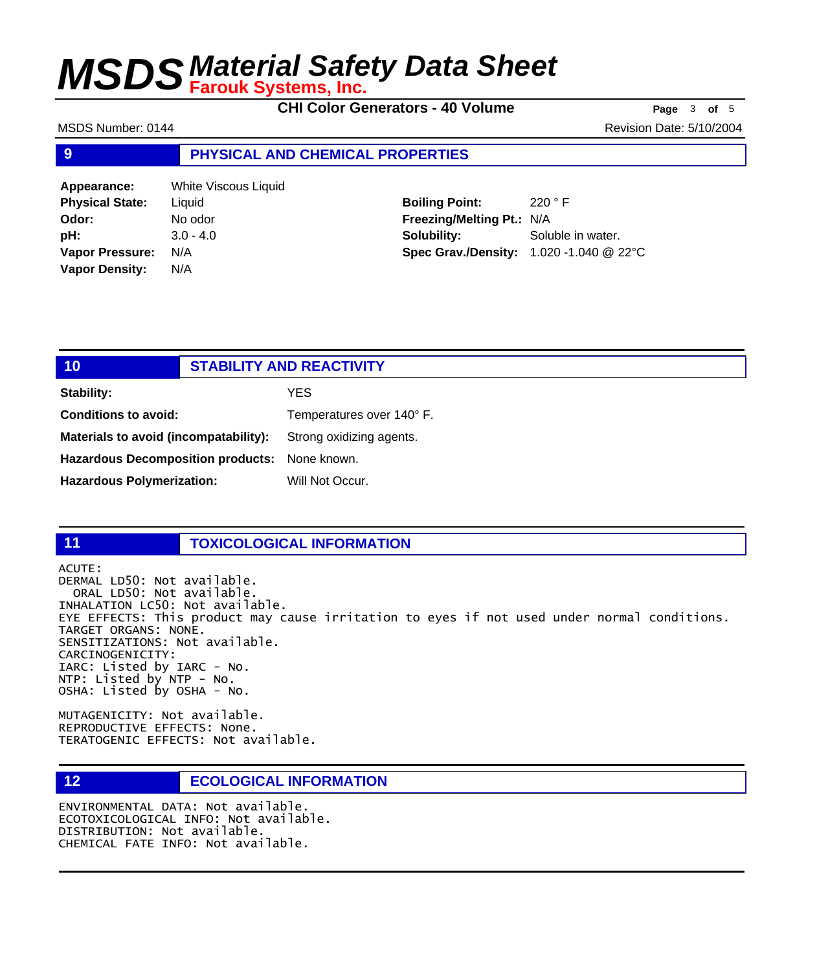**CHI Color Generators - 40 Volume Page** <sup>3</sup> **of** <sup>5</sup>

MSDS Number: 0144 **MSDS Number: 0144** Revision Date: 5/10/2004

### **9 PHYSICAL AND CHEMICAL PROPERTIES**

| Appearance:            | White Viscous Liquid |
|------------------------|----------------------|
| <b>Physical State:</b> | Liquid               |
| Odor:                  | No odor              |
| pH:                    | $3.0 - 4.0$          |
| <b>Vapor Pressure:</b> | N/A                  |
| <b>Vapor Density:</b>  | N/A                  |

**Boiling Point:** 220 ° F **Freezing/Melting Pt.:** N/A **Solubility:** Soluble in water. **Spec Grav./Density:** 1.020 -1.040 @ 22°C

| 10                                            | <b>STABILITY AND REACTIVITY</b> |                           |
|-----------------------------------------------|---------------------------------|---------------------------|
| Stability:                                    |                                 | YES                       |
| <b>Conditions to avoid:</b>                   |                                 | Temperatures over 140° F. |
| Materials to avoid (incompatability):         |                                 | Strong oxidizing agents.  |
| Hazardous Decomposition products: None known. |                                 |                           |
| <b>Hazardous Polymerization:</b>              |                                 | Will Not Occur.           |

### **11 TOXICOLOGICAL INFORMATION**

ACUTE: DERMAL LD50: Not available. ORAL LD50: Not available. INHALATION LC50: Not available. EYE EFFECTS: This product may cause irritation to eyes if not used under normal conditions. TARGET ORGANS: NONE. SENSITIZATIONS: Not available. CARCINOGENICITY: IARC: Listed by IARC - No. NTP: Listed by NTP - No. OSHA: Listed by OSHA - No.

MUTAGENICITY: Not available. REPRODUCTIVE EFFECTS: None. TERATOGENIC EFFECTS: Not available.

### **12 ECOLOGICAL INFORMATION**

ENVIRONMENTAL DATA: Not available. ECOTOXICOLOGICAL INFO: Not available. DISTRIBUTION: Not available. CHEMICAL FATE INFO: Not available.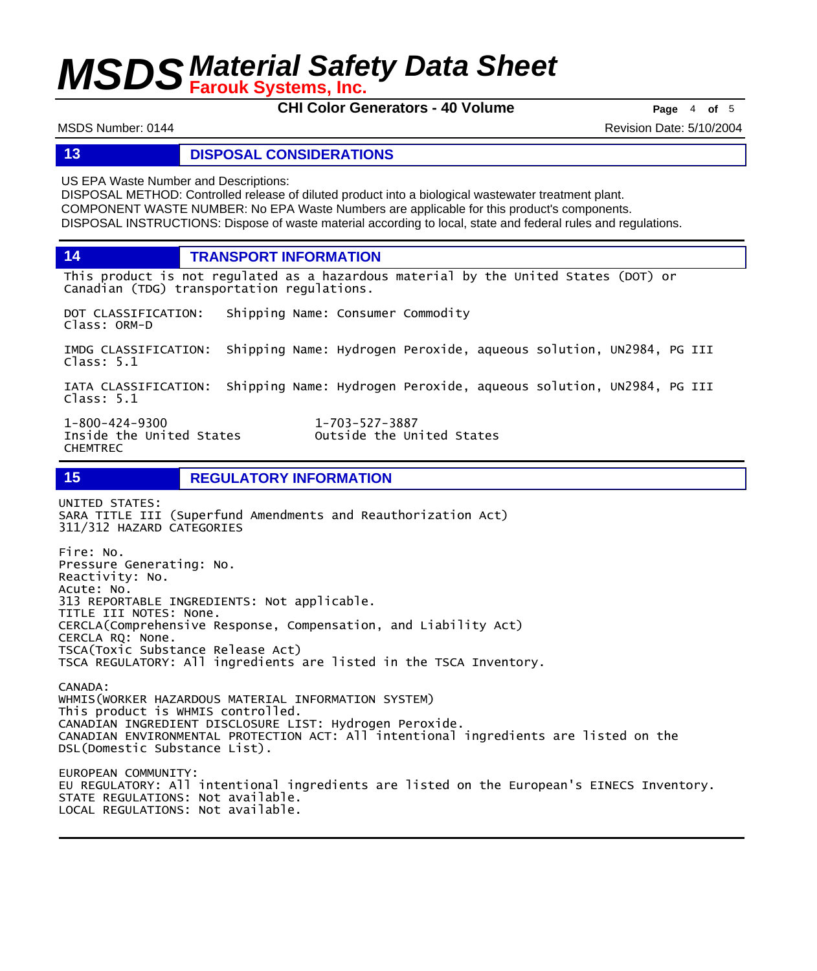**CHI Color Generators - 40 Volume Page** <sup>4</sup> **of** <sup>5</sup>

MSDS Number: 0144 Revision Date: 5/10/2004

### **13 DISPOSAL CONSIDERATIONS**

US EPA Waste Number and Descriptions:

DISPOSAL METHOD: Controlled release of diluted product into a biological wastewater treatment plant. COMPONENT WASTE NUMBER: No EPA Waste Numbers are applicable for this product's components. DISPOSAL INSTRUCTIONS: Dispose of waste material according to local, state and federal rules and regulations.

**14 TRANSPORT INFORMATION**

This product is not regulated as a hazardous material by the United States (DOT) or Canadian (TDG) transportation regulations.

DOT CLASSIFICATION: Shipping Name: Consumer Commodity Class: ORM-D

IMDG CLASSIFICATION: Shipping Name: Hydrogen Peroxide, aqueous solution, UN2984, PG III Class: 5.1

IATA CLASSIFICATION: Shipping Name: Hydrogen Peroxide, aqueous solution, UN2984, PG III Class: 5.1

1-800-424-9300 1-703-527-3887 CHEMTREC

Outside the United States

**15 REGULATORY INFORMATION**

UNITED STATES: SARA TITLE III (Superfund Amendments and Reauthorization Act) 311/312 HAZARD CATEGORIES Fire: No. Pressure Generating: No. Reactivity: No. Acute: No. 313 REPORTABLE INGREDIENTS: Not applicable. TITLE III NOTES: None. CERCLA(Comprehensive Response, Compensation, and Liability Act) CERCLA RQ: None. TSCA(Toxic Substance Release Act) TSCA REGULATORY: All ingredients are listed in the TSCA Inventory. CANADA: WHMIS(WORKER HAZARDOUS MATERIAL INFORMATION SYSTEM) This product is WHMIS controlled. CANADIAN INGREDIENT DISCLOSURE LIST: Hydrogen Peroxide. CANADIAN ENVIRONMENTAL PROTECTION ACT: All intentional ingredients are listed on the DSL(Domestic Substance List). EUROPEAN COMMUNITY: EU REGULATORY: All intentional ingredients are listed on the European's EINECS Inventory.

STATE REGULATIONS: Not available. LOCAL REGULATIONS: Not available.